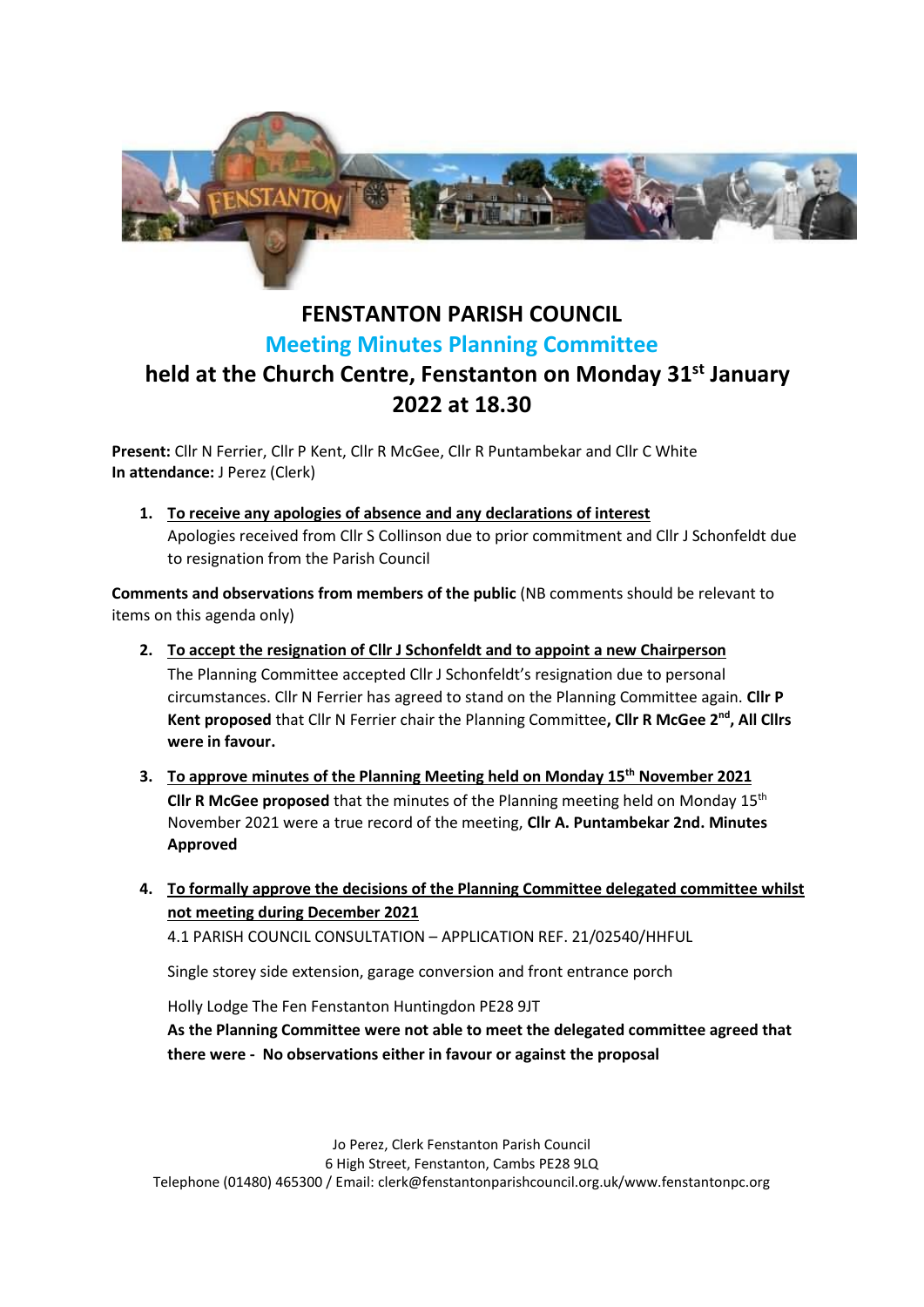

## **FENSTANTON PARISH COUNCIL Meeting Minutes Planning Committee held at the Church Centre, Fenstanton on Monday 31st January 2022 at 18.30**

**Present:** Cllr N Ferrier, Cllr P Kent, Cllr R McGee, Cllr R Puntambekar and Cllr C White **In attendance:** J Perez (Clerk)

**1. To receive any apologies of absence and any declarations of interest** Apologies received from Cllr S Collinson due to prior commitment and Cllr J Schonfeldt due to resignation from the Parish Council

**Comments and observations from members of the public** (NB comments should be relevant to items on this agenda only)

- **2. To accept the resignation of Cllr J Schonfeldt and to appoint a new Chairperson**  The Planning Committee accepted Cllr J Schonfeldt's resignation due to personal circumstances. Cllr N Ferrier has agreed to stand on the Planning Committee again. **Cllr P Kent proposed** that Cllr N Ferrier chair the Planning Committee**, Cllr R McGee 2nd, All Cllrs were in favour.**
- **3. To approve minutes of the Planning Meeting held on Monday 15th November 2021 Cllr R McGee proposed** that the minutes of the Planning meeting held on Monday 15th November 2021 were a true record of the meeting, **Cllr A. Puntambekar 2nd. Minutes Approved**
- **4. To formally approve the decisions of the Planning Committee delegated committee whilst not meeting during December 2021**

4.1 PARISH COUNCIL CONSULTATION – APPLICATION REF. 21/02540/HHFUL

Single storey side extension, garage conversion and front entrance porch

Holly Lodge The Fen Fenstanton Huntingdon PE28 9JT

**As the Planning Committee were not able to meet the delegated committee agreed that there were - No observations either in favour or against the proposal**